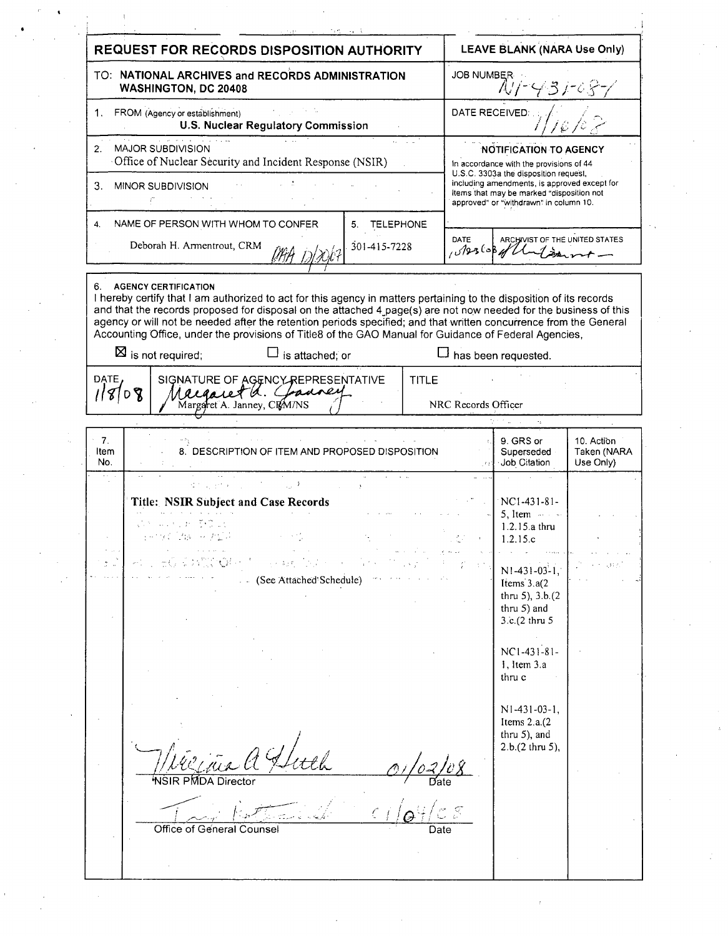|                               | REQUEST FOR RECORDS DISPOSITION AUTHORITY                                                                                                                                                                                                                                                                                                                                                                                                                                                         | LEAVE BLANK (NARA Use Only)                                                                                                         |                                                                                                                                                         |                                        |
|-------------------------------|---------------------------------------------------------------------------------------------------------------------------------------------------------------------------------------------------------------------------------------------------------------------------------------------------------------------------------------------------------------------------------------------------------------------------------------------------------------------------------------------------|-------------------------------------------------------------------------------------------------------------------------------------|---------------------------------------------------------------------------------------------------------------------------------------------------------|----------------------------------------|
|                               | TO: NATIONAL ARCHIVES and RECORDS ADMINISTRATION<br><b>WASHINGTON, DC 20408</b>                                                                                                                                                                                                                                                                                                                                                                                                                   | JOB NUMBER<br>NT-431-68-7                                                                                                           |                                                                                                                                                         |                                        |
|                               | FROM (Agency or establishment)<br><b>U.S. Nuclear Regulatory Commission</b>                                                                                                                                                                                                                                                                                                                                                                                                                       | DATE RECEIVED:                                                                                                                      |                                                                                                                                                         |                                        |
| 2.                            | ka mana<br>MAJOR SUBDIVISION<br>Office of Nuclear Security and Incident Response (NSIR)                                                                                                                                                                                                                                                                                                                                                                                                           | <b>NOTIFICATION TO AGENCY</b><br>In accordance with the provisions of 44<br>U.S.C. 3303a the disposition request,                   |                                                                                                                                                         |                                        |
|                               | 3. MINOR SUBDIVISION                                                                                                                                                                                                                                                                                                                                                                                                                                                                              | including amendments, is approved except for<br>items that may be marked "disposition not<br>approved" or "withdrawn" in column 10. |                                                                                                                                                         |                                        |
| 4.                            | NAME OF PERSON WITH WHOM TO CONFER<br>5. TELEPHONE<br>Deborah H. Armentrout, CRM<br>301-415-7228<br>likh ,                                                                                                                                                                                                                                                                                                                                                                                        | DATE<br>ARCHIVIST OF THE UNITED STATES<br>0.8256841                                                                                 |                                                                                                                                                         |                                        |
|                               | 6. AGENCY CERTIFICATION<br>I hereby certify that I am authorized to act for this agency in matters pertaining to the disposition of its records<br>and that the records proposed for disposal on the attached 4 page(s) are not now needed for the business of this<br>agency or will not be needed after the retention periods specified; and that written concurrence from the General<br>Accounting Office, under the provisions of Title8 of the GAO Manual for Guidance of Federal Agencies, |                                                                                                                                     |                                                                                                                                                         |                                        |
| DATE,<br>118/08               | $\boxtimes$ is not required;<br>$\Box$ is attached; or<br>SIGNATURE OF AGENCY REPRESENTATIVE<br><b>TITLE</b><br>recearet a. Commey<br>Margaret A. Janney, CRM/NS                                                                                                                                                                                                                                                                                                                                  | NRC Records Officer                                                                                                                 | $\square$ has been requested.                                                                                                                           |                                        |
| 7 <sub>1</sub><br>Item<br>No. | 8. DESCRIPTION OF ITEM AND PROPOSED DISPOSITION                                                                                                                                                                                                                                                                                                                                                                                                                                                   |                                                                                                                                     | 9. GRS or<br>Superseded<br>Job Citation                                                                                                                 | 10. Action<br>Taken (NARA<br>Use Only) |
|                               | 精力的 计标准分析<br>Title: NSIR Subject and Case Records<br>はいしゅう あきのよ<br>- (See Attached Schedule)                                                                                                                                                                                                                                                                                                                                                                                                      |                                                                                                                                     | NC1-431-81-<br>5, Item $\cdots$<br>1.2.15.a thru<br>1.2.15.c<br>$N1-431-03-1$ ,<br>Items 3.a(2<br>thru $5$ ), $3.b.(2)$<br>thru 5) and<br>3.c.(2 thru 5 |                                        |
|                               |                                                                                                                                                                                                                                                                                                                                                                                                                                                                                                   |                                                                                                                                     | $NC1-431-81-$<br>1, Item 3.a<br>thru c<br>$N1-431-03-1$ ,<br>Items $2.a.(2)$<br>thru 5), and<br>2.b.(2 thru 5),                                         |                                        |
|                               | <b>NSIR PMDA Director</b><br>Office of General Counsel<br>Date                                                                                                                                                                                                                                                                                                                                                                                                                                    |                                                                                                                                     |                                                                                                                                                         |                                        |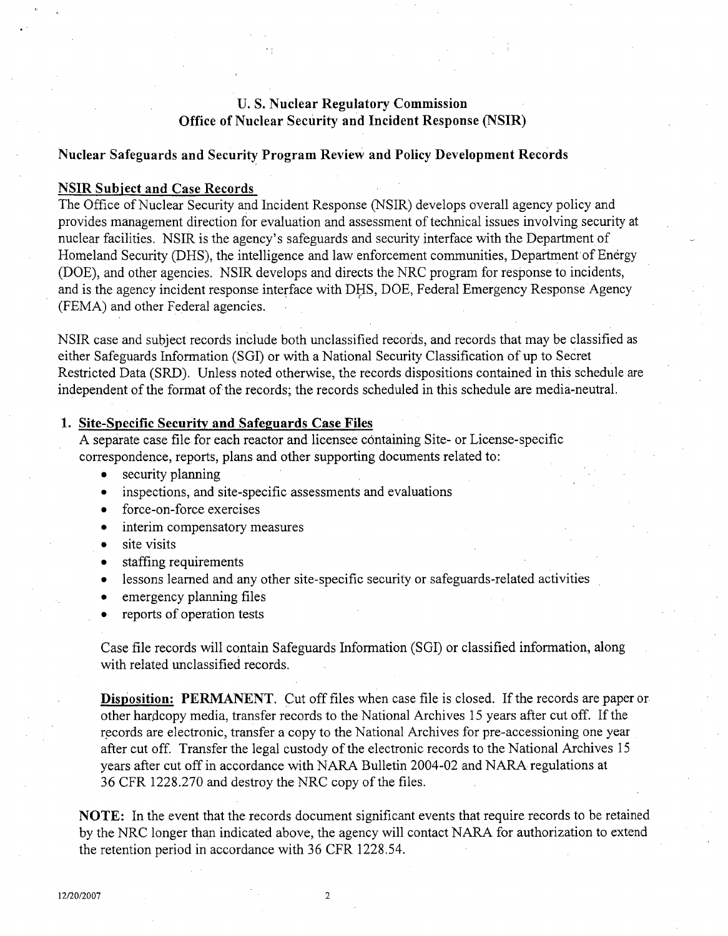# **U. S.** Nuclear Regulatory Commission Office of Nuclear Security and Incident Response (NSIR)

#### Nuclear Safeguards and Security Program Review and Policy Development Records

### NSIR Subiect and Case Records

The Office of Nuclear Security and Incident Response (NSIR) develops overall agency policy and provides management direction for evaluation and assessment of technical issues involving security at nuclear facilities. NSIR is the agency's safeguards and security interface with the Department of Homeland Security (DHS), the intelligence and law enforcement communities, Department of Energy (DOE), and other agencies. NSIR develops and directs the NRC program for response to incidents, and is the agency incident response interface with DHS, DOE, Federal Emergency Response Agency (FEMA) and other Federal agencies.

NSIR case and subject records include both unclassified records, and records that may be classified as either Safeguards Information (SGI) or with a National Security Classification of up to Secret Restricted Data (SRD). Unless noted otherwise, the records dispositions contained in this schedule are independent of the format of the records; the records scheduled in this schedule are media-neutral.

## 1. Site-Specific Security and Safeguards Case Files

A separate case file for each reactor and licensee containing Site- or License-specific correspondence, reports, plans and other supporting documents related to:

- **0** security planning
- **0** inspections, and site-specific assessments and evaluations
- **a** force-on-force exercises
- interim compensatory measures
- **0** site visits
- **0** staffing requirements
- lessons learned and any other site-specific security or safeguards-related activities
- **0** emergency planning files
- **\*** reports of operation tests

Case file records will contain Safeguards Information (SGI) or classified information, along with related unclassified records.

Disposition: PERMANENT. Cut off files when case file is closed. If the records are paper or other hardcopy media, transfer records to the National Archives 15 years after cut off. If the records are electronic, transfer a copy to the National Archives for pre-accessioning one year after cut off. Transfer the legal custody of the electronic records to the National Archives 15 years after cut off in accordance with NARA Bulletin 2004-02 and NARA regulations at 36 CFR 1228.270 and destroy the NRC copy of the files.

**NOTE:** In the event that the records document significant events that require records to be retained by the NRC longer than indicated above, the agency will contact NARA for authorization to extend the retention period in accordance with 36 CFR 1228.54.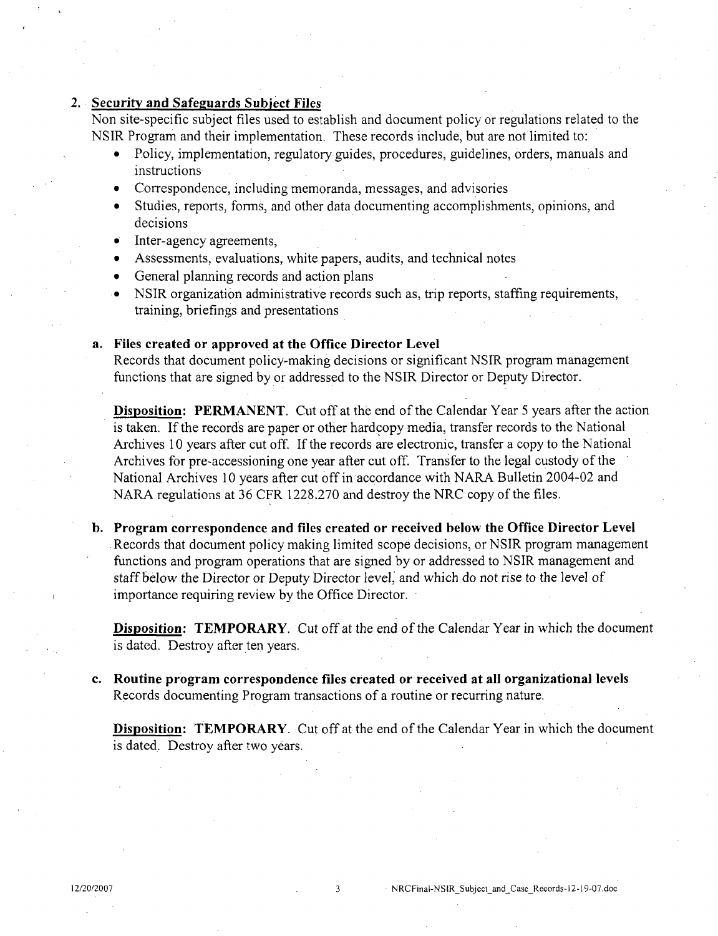## 2. Security and Safeguards Subject Files

Non site-specific subject files used to establish and document policy or regulations related to the NSIR Program and their implementation. These records include, but are not limited to:

- \* Policy, implementation, regulatory guides, procedures, guidelines, orders, manuals and instructions
- \* Correspondence, including memoranda, messages, and advisories
- **0** Studies, reports, forms, and other data documenting accomplishments, opinions, and decisions
- **0** Inter-agency agreements,
- **0** Assessments, evaluations, white papers, audits, and technical notes
- General planning records and action plans
- NSIR organization administrative records such as, trip reports, staffing requirements, training, briefings and presentations

#### a. Files created or approved at the Office Director Level

Records that document policy-making decisions or significant NSIR program management functions that are signed by or addressed to the NSIR Director or Deputy Director.

Disposition: **PERMANENT.** Cut off at the end of the Calendar Year 5 years after the action is taken. If the records are paper or other hardcopy media, transfer records to the National Archives 10 years after cut off. If the records are electronic, transfer a copy to the National Archives for pre-accessioning one year after cut off. Transfer to the legal custody of the National Archives 10 years after cut off in accordance with NARA Bulletin 2004-02 and NARA regulations at 36 CFR 1228.270 and destroy the NRC copy of the files.

b. Program correspondence and files created or received below the Office Director Level Records that document policy making limited scope decisions, or NSIR program management functions and program operations that are signed by or addressed to NSIR management and staff below the Director or Deputy Director level, and which do not rise to the level of importance requiring review by the Office Director.

Disposition: TEMPORARY. Cut off at the end of the Calendar Year in which the document is dated. Destroy after ten years.

c. Routine program correspondence files created or received at all organizational levels Records documenting Program transactions of a routine or recurring nature.

**Disposition: TEMPORARY**. Cut off at the end of the Calendar Year in which the document is dated. Destroy after two years.